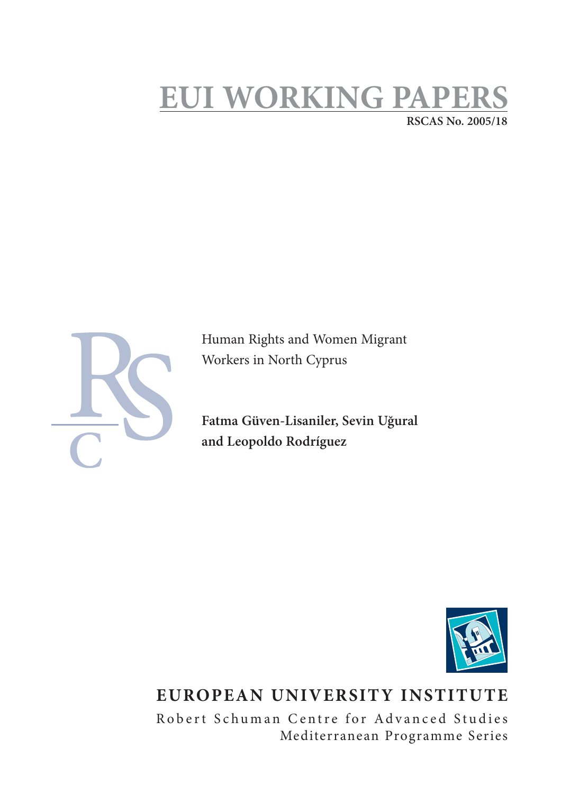# **EUI WORKING PAPI RSCAS No. 2005/18**



Human Rights and Women Migrant Workers in North Cyprus

**Fatma Güven-Lisaniler, Sevin Uğural and Leopoldo Rodríguez**



## **EUROPEAN UNIVERSITY INSTITUTE**

Robert Schuman Centre for Advanced Studies Mediterranean Programme Series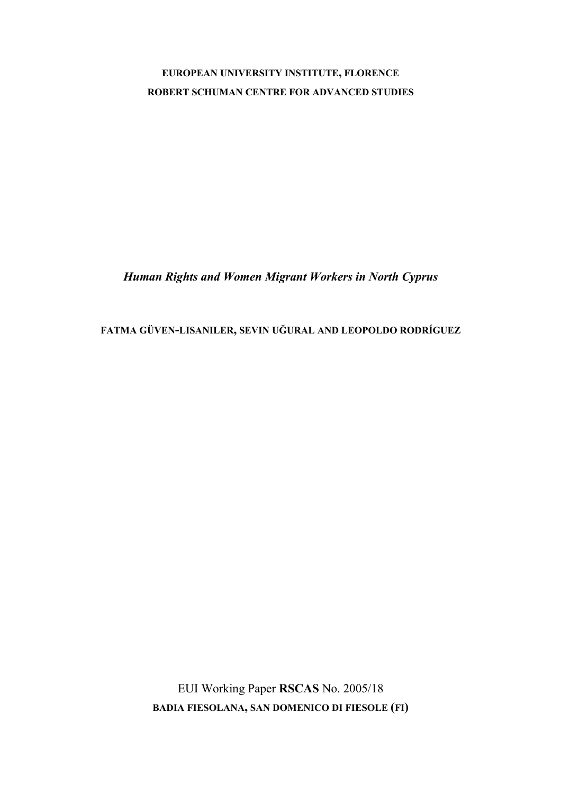### **EUROPEAN UNIVERSITY INSTITUTE, FLORENCE ROBERT SCHUMAN CENTRE FOR ADVANCED STUDIES**

*Human Rights and Women Migrant Workers in North Cyprus* 

**FATMA GÜVEN-LISANILER, SEVIN UĞURAL AND LEOPOLDO RODRÍGUEZ**

EUI Working Paper **RSCAS** No. 2005/18 **BADIA FIESOLANA, SAN DOMENICO DI FIESOLE (FI)**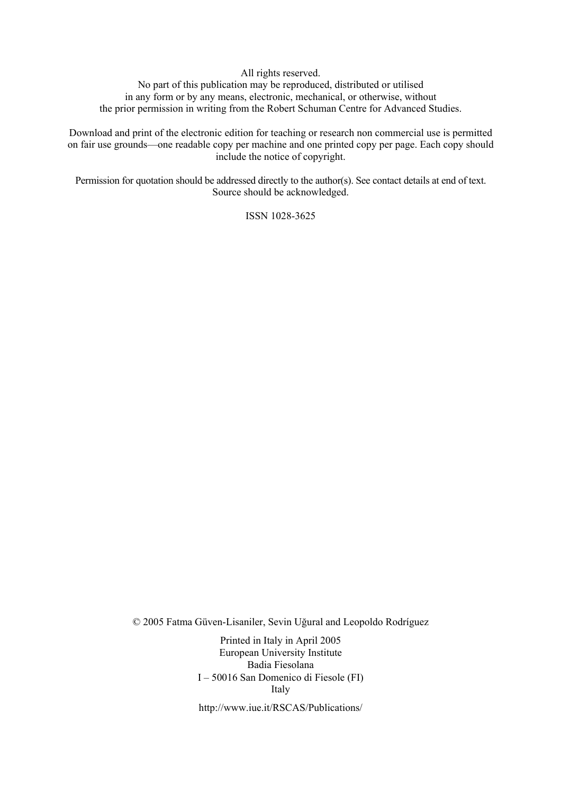All rights reserved.

No part of this publication may be reproduced, distributed or utilised in any form or by any means, electronic, mechanical, or otherwise, without the prior permission in writing from the Robert Schuman Centre for Advanced Studies.

Download and print of the electronic edition for teaching or research non commercial use is permitted on fair use grounds—one readable copy per machine and one printed copy per page. Each copy should include the notice of copyright.

Permission for quotation should be addressed directly to the author(s). See contact details at end of text. Source should be acknowledged.

ISSN 1028-3625

© 2005 Fatma Güven-Lisaniler, Sevin Uğural and Leopoldo Rodríguez

Printed in Italy in April 2005 European University Institute Badia Fiesolana I – 50016 San Domenico di Fiesole (FI) Italy

http://www.iue.it/RSCAS/Publications/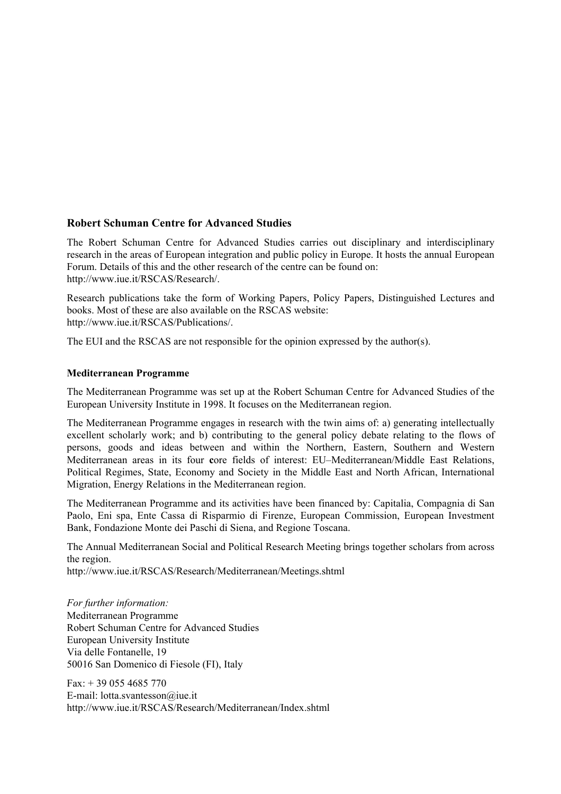#### **Robert Schuman Centre for Advanced Studies**

The Robert Schuman Centre for Advanced Studies carries out disciplinary and interdisciplinary research in the areas of European integration and public policy in Europe. It hosts the annual European Forum. Details of this and the other research of the centre can be found on: http://www.iue.it/RSCAS/Research/.

Research publications take the form of Working Papers, Policy Papers, Distinguished Lectures and books. Most of these are also available on the RSCAS website: http://www.iue.it/RSCAS/Publications/.

The EUI and the RSCAS are not responsible for the opinion expressed by the author(s).

#### **Mediterranean Programme**

The Mediterranean Programme was set up at the Robert Schuman Centre for Advanced Studies of the European University Institute in 1998. It focuses on the Mediterranean region.

The Mediterranean Programme engages in research with the twin aims of: a) generating intellectually excellent scholarly work; and b) contributing to the general policy debate relating to the flows of persons, goods and ideas between and within the Northern, Eastern, Southern and Western Mediterranean areas in its four **c**ore fields of interest: EU–Mediterranean/Middle East Relations, Political Regimes, State, Economy and Society in the Middle East and North African, International Migration, Energy Relations in the Mediterranean region.

The Mediterranean Programme and its activities have been financed by: Capitalia, Compagnia di San Paolo, Eni spa, Ente Cassa di Risparmio di Firenze, European Commission, European Investment Bank, Fondazione Monte dei Paschi di Siena, and Regione Toscana.

The Annual Mediterranean Social and Political Research Meeting brings together scholars from across the region.

http://www.iue.it/RSCAS/Research/Mediterranean/Meetings.shtml

*For further information:*  Mediterranean Programme Robert Schuman Centre for Advanced Studies European University Institute Via delle Fontanelle, 19 50016 San Domenico di Fiesole (FI), Italy

 $Fax: + 390554685770$ E-mail: lotta.svantesson@iue.it http://www.iue.it/RSCAS/Research/Mediterranean/Index.shtml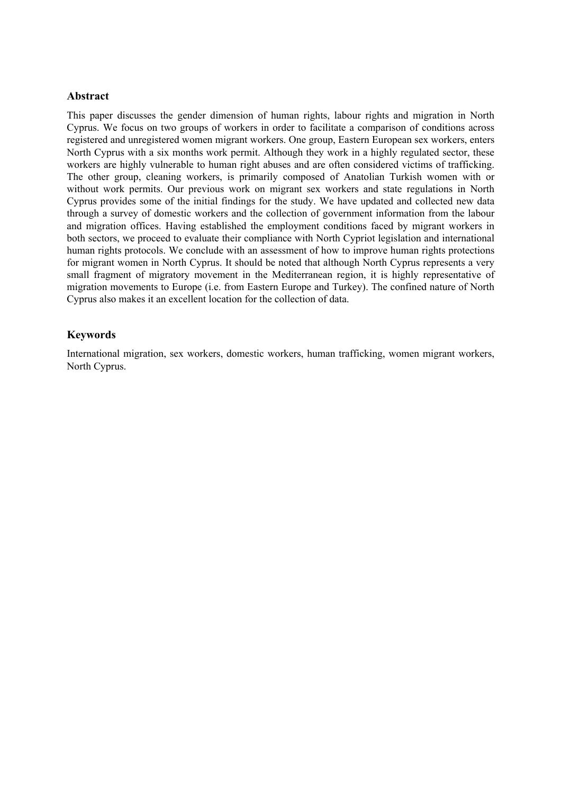#### **Abstract**

This paper discusses the gender dimension of human rights, labour rights and migration in North Cyprus. We focus on two groups of workers in order to facilitate a comparison of conditions across registered and unregistered women migrant workers. One group, Eastern European sex workers, enters North Cyprus with a six months work permit. Although they work in a highly regulated sector, these workers are highly vulnerable to human right abuses and are often considered victims of trafficking. The other group, cleaning workers, is primarily composed of Anatolian Turkish women with or without work permits. Our previous work on migrant sex workers and state regulations in North Cyprus provides some of the initial findings for the study. We have updated and collected new data through a survey of domestic workers and the collection of government information from the labour and migration offices. Having established the employment conditions faced by migrant workers in both sectors, we proceed to evaluate their compliance with North Cypriot legislation and international human rights protocols. We conclude with an assessment of how to improve human rights protections for migrant women in North Cyprus. It should be noted that although North Cyprus represents a very small fragment of migratory movement in the Mediterranean region, it is highly representative of migration movements to Europe (i.e. from Eastern Europe and Turkey). The confined nature of North Cyprus also makes it an excellent location for the collection of data.

#### **Keywords**

International migration, sex workers, domestic workers, human trafficking, women migrant workers, North Cyprus.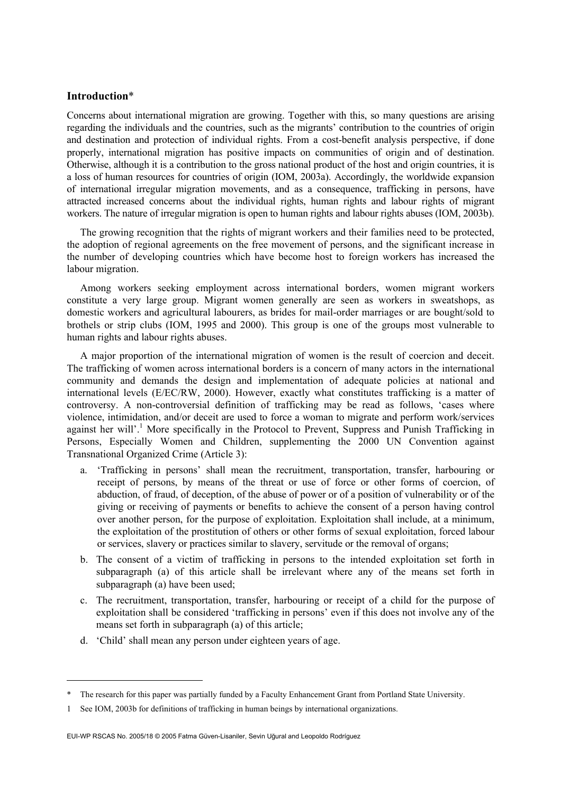#### **Introduction**\*

l

Concerns about international migration are growing. Together with this, so many questions are arising regarding the individuals and the countries, such as the migrants' contribution to the countries of origin and destination and protection of individual rights. From a cost-benefit analysis perspective, if done properly, international migration has positive impacts on communities of origin and of destination. Otherwise, although it is a contribution to the gross national product of the host and origin countries, it is a loss of human resources for countries of origin (IOM, 2003a). Accordingly, the worldwide expansion of international irregular migration movements, and as a consequence, trafficking in persons, have attracted increased concerns about the individual rights, human rights and labour rights of migrant workers. The nature of irregular migration is open to human rights and labour rights abuses (IOM, 2003b).

The growing recognition that the rights of migrant workers and their families need to be protected, the adoption of regional agreements on the free movement of persons, and the significant increase in the number of developing countries which have become host to foreign workers has increased the labour migration.

Among workers seeking employment across international borders, women migrant workers constitute a very large group. Migrant women generally are seen as workers in sweatshops, as domestic workers and agricultural labourers, as brides for mail-order marriages or are bought/sold to brothels or strip clubs (IOM, 1995 and 2000). This group is one of the groups most vulnerable to human rights and labour rights abuses.

A major proportion of the international migration of women is the result of coercion and deceit. The trafficking of women across international borders is a concern of many actors in the international community and demands the design and implementation of adequate policies at national and international levels (E/EC/RW, 2000). However, exactly what constitutes trafficking is a matter of controversy. A non-controversial definition of trafficking may be read as follows, 'cases where violence, intimidation, and/or deceit are used to force a woman to migrate and perform work/services against her will'.<sup>1</sup> More specifically in the Protocol to Prevent, Suppress and Punish Trafficking in Persons, Especially Women and Children, supplementing the 2000 UN Convention against Transnational Organized Crime (Article 3):

- a. 'Trafficking in persons' shall mean the recruitment, transportation, transfer, harbouring or receipt of persons, by means of the threat or use of force or other forms of coercion, of abduction, of fraud, of deception, of the abuse of power or of a position of vulnerability or of the giving or receiving of payments or benefits to achieve the consent of a person having control over another person, for the purpose of exploitation. Exploitation shall include, at a minimum, the exploitation of the prostitution of others or other forms of sexual exploitation, forced labour or services, slavery or practices similar to slavery, servitude or the removal of organs;
- b. The consent of a victim of trafficking in persons to the intended exploitation set forth in subparagraph (a) of this article shall be irrelevant where any of the means set forth in subparagraph (a) have been used;
- c. The recruitment, transportation, transfer, harbouring or receipt of a child for the purpose of exploitation shall be considered 'trafficking in persons' even if this does not involve any of the means set forth in subparagraph (a) of this article;
- d. 'Child' shall mean any person under eighteen years of age.

<sup>\*</sup> The research for this paper was partially funded by a Faculty Enhancement Grant from Portland State University.

<sup>1</sup> See IOM, 2003b for definitions of trafficking in human beings by international organizations.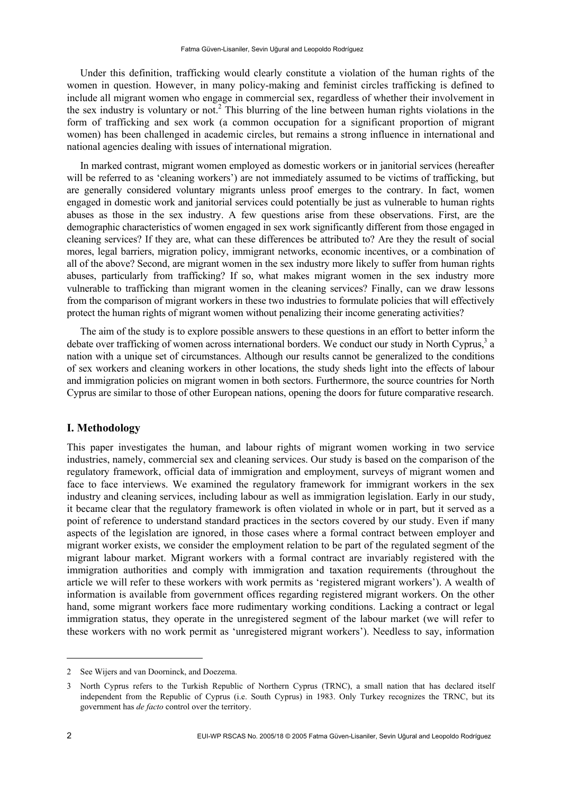Under this definition, trafficking would clearly constitute a violation of the human rights of the women in question. However, in many policy-making and feminist circles trafficking is defined to include all migrant women who engage in commercial sex, regardless of whether their involvement in the sex industry is voluntary or not.<sup>2</sup> This blurring of the line between human rights violations in the form of trafficking and sex work (a common occupation for a significant proportion of migrant women) has been challenged in academic circles, but remains a strong influence in international and national agencies dealing with issues of international migration.

In marked contrast, migrant women employed as domestic workers or in janitorial services (hereafter will be referred to as 'cleaning workers') are not immediately assumed to be victims of trafficking, but are generally considered voluntary migrants unless proof emerges to the contrary. In fact, women engaged in domestic work and janitorial services could potentially be just as vulnerable to human rights abuses as those in the sex industry. A few questions arise from these observations. First, are the demographic characteristics of women engaged in sex work significantly different from those engaged in cleaning services? If they are, what can these differences be attributed to? Are they the result of social mores, legal barriers, migration policy, immigrant networks, economic incentives, or a combination of all of the above? Second, are migrant women in the sex industry more likely to suffer from human rights abuses, particularly from trafficking? If so, what makes migrant women in the sex industry more vulnerable to trafficking than migrant women in the cleaning services? Finally, can we draw lessons from the comparison of migrant workers in these two industries to formulate policies that will effectively protect the human rights of migrant women without penalizing their income generating activities?

The aim of the study is to explore possible answers to these questions in an effort to better inform the debate over trafficking of women across international borders. We conduct our study in North Cyprus,<sup>3</sup> a nation with a unique set of circumstances. Although our results cannot be generalized to the conditions of sex workers and cleaning workers in other locations, the study sheds light into the effects of labour and immigration policies on migrant women in both sectors. Furthermore, the source countries for North Cyprus are similar to those of other European nations, opening the doors for future comparative research.

#### **I. Methodology**

This paper investigates the human, and labour rights of migrant women working in two service industries, namely, commercial sex and cleaning services. Our study is based on the comparison of the regulatory framework, official data of immigration and employment, surveys of migrant women and face to face interviews. We examined the regulatory framework for immigrant workers in the sex industry and cleaning services, including labour as well as immigration legislation. Early in our study, it became clear that the regulatory framework is often violated in whole or in part, but it served as a point of reference to understand standard practices in the sectors covered by our study. Even if many aspects of the legislation are ignored, in those cases where a formal contract between employer and migrant worker exists, we consider the employment relation to be part of the regulated segment of the migrant labour market. Migrant workers with a formal contract are invariably registered with the immigration authorities and comply with immigration and taxation requirements (throughout the article we will refer to these workers with work permits as 'registered migrant workers'). A wealth of information is available from government offices regarding registered migrant workers. On the other hand, some migrant workers face more rudimentary working conditions. Lacking a contract or legal immigration status, they operate in the unregistered segment of the labour market (we will refer to these workers with no work permit as 'unregistered migrant workers'). Needless to say, information

l

<sup>2</sup> See Wijers and van Doorninck, and Doezema.

<sup>3</sup> North Cyprus refers to the Turkish Republic of Northern Cyprus (TRNC), a small nation that has declared itself independent from the Republic of Cyprus (i.e. South Cyprus) in 1983. Only Turkey recognizes the TRNC, but its government has *de facto* control over the territory.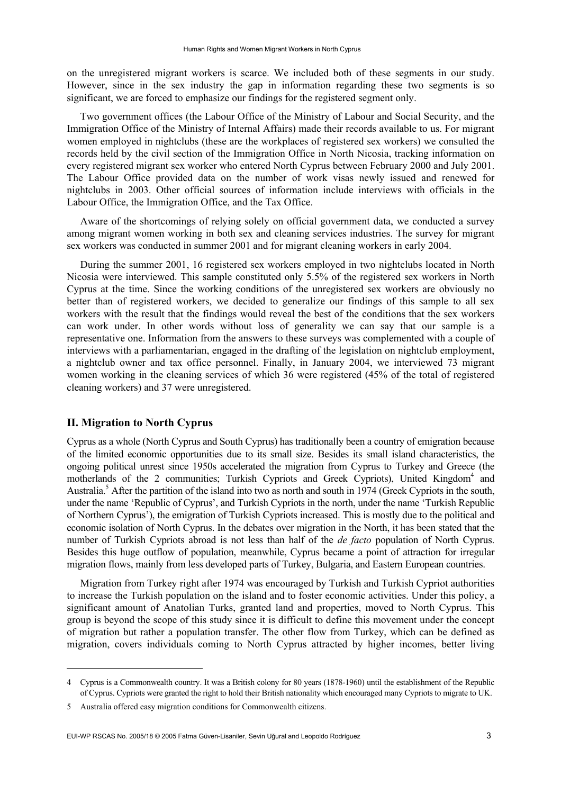on the unregistered migrant workers is scarce. We included both of these segments in our study. However, since in the sex industry the gap in information regarding these two segments is so significant, we are forced to emphasize our findings for the registered segment only.

Two government offices (the Labour Office of the Ministry of Labour and Social Security, and the Immigration Office of the Ministry of Internal Affairs) made their records available to us. For migrant women employed in nightclubs (these are the workplaces of registered sex workers) we consulted the records held by the civil section of the Immigration Office in North Nicosia, tracking information on every registered migrant sex worker who entered North Cyprus between February 2000 and July 2001. The Labour Office provided data on the number of work visas newly issued and renewed for nightclubs in 2003. Other official sources of information include interviews with officials in the Labour Office, the Immigration Office, and the Tax Office.

Aware of the shortcomings of relying solely on official government data, we conducted a survey among migrant women working in both sex and cleaning services industries. The survey for migrant sex workers was conducted in summer 2001 and for migrant cleaning workers in early 2004.

During the summer 2001, 16 registered sex workers employed in two nightclubs located in North Nicosia were interviewed. This sample constituted only 5.5% of the registered sex workers in North Cyprus at the time. Since the working conditions of the unregistered sex workers are obviously no better than of registered workers, we decided to generalize our findings of this sample to all sex workers with the result that the findings would reveal the best of the conditions that the sex workers can work under. In other words without loss of generality we can say that our sample is a representative one. Information from the answers to these surveys was complemented with a couple of interviews with a parliamentarian, engaged in the drafting of the legislation on nightclub employment, a nightclub owner and tax office personnel. Finally, in January 2004, we interviewed 73 migrant women working in the cleaning services of which 36 were registered (45% of the total of registered cleaning workers) and 37 were unregistered.

#### **II. Migration to North Cyprus**

l

Cyprus as a whole (North Cyprus and South Cyprus) has traditionally been a country of emigration because of the limited economic opportunities due to its small size. Besides its small island characteristics, the ongoing political unrest since 1950s accelerated the migration from Cyprus to Turkey and Greece (the motherlands of the 2 communities; Turkish Cypriots and Greek Cypriots), United Kingdom<sup>4</sup> and Australia.<sup>5</sup> After the partition of the island into two as north and south in 1974 (Greek Cypriots in the south, under the name 'Republic of Cyprus', and Turkish Cypriots in the north, under the name 'Turkish Republic of Northern Cyprus'), the emigration of Turkish Cypriots increased. This is mostly due to the political and economic isolation of North Cyprus. In the debates over migration in the North, it has been stated that the number of Turkish Cypriots abroad is not less than half of the *de facto* population of North Cyprus. Besides this huge outflow of population, meanwhile, Cyprus became a point of attraction for irregular migration flows, mainly from less developed parts of Turkey, Bulgaria, and Eastern European countries.

Migration from Turkey right after 1974 was encouraged by Turkish and Turkish Cypriot authorities to increase the Turkish population on the island and to foster economic activities. Under this policy, a significant amount of Anatolian Turks, granted land and properties, moved to North Cyprus. This group is beyond the scope of this study since it is difficult to define this movement under the concept of migration but rather a population transfer. The other flow from Turkey, which can be defined as migration, covers individuals coming to North Cyprus attracted by higher incomes, better living

<sup>4</sup> Cyprus is a Commonwealth country. It was a British colony for 80 years (1878-1960) until the establishment of the Republic of Cyprus. Cypriots were granted the right to hold their British nationality which encouraged many Cypriots to migrate to UK.

<sup>5</sup> Australia offered easy migration conditions for Commonwealth citizens.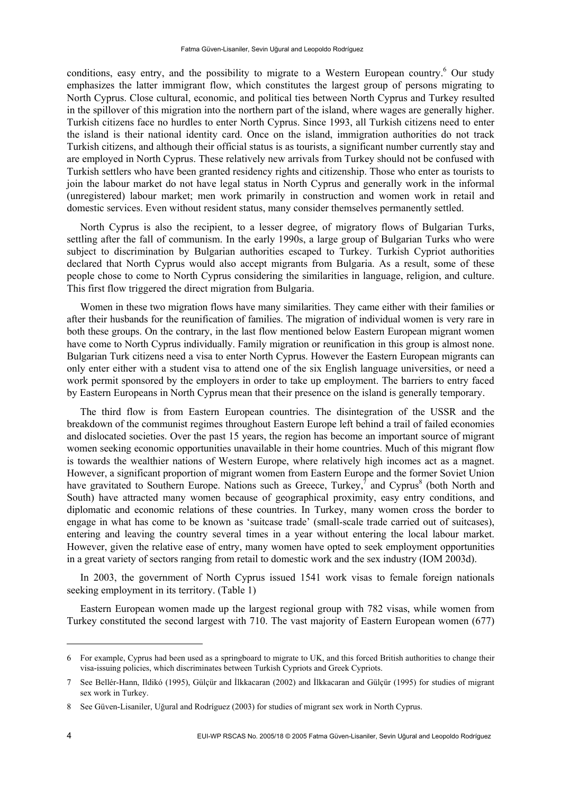conditions, easy entry, and the possibility to migrate to a Western European country.<sup>6</sup> Our study emphasizes the latter immigrant flow, which constitutes the largest group of persons migrating to North Cyprus. Close cultural, economic, and political ties between North Cyprus and Turkey resulted in the spillover of this migration into the northern part of the island, where wages are generally higher. Turkish citizens face no hurdles to enter North Cyprus. Since 1993, all Turkish citizens need to enter the island is their national identity card. Once on the island, immigration authorities do not track Turkish citizens, and although their official status is as tourists, a significant number currently stay and are employed in North Cyprus. These relatively new arrivals from Turkey should not be confused with Turkish settlers who have been granted residency rights and citizenship. Those who enter as tourists to join the labour market do not have legal status in North Cyprus and generally work in the informal (unregistered) labour market; men work primarily in construction and women work in retail and domestic services. Even without resident status, many consider themselves permanently settled.

North Cyprus is also the recipient, to a lesser degree, of migratory flows of Bulgarian Turks, settling after the fall of communism. In the early 1990s, a large group of Bulgarian Turks who were subject to discrimination by Bulgarian authorities escaped to Turkey. Turkish Cypriot authorities declared that North Cyprus would also accept migrants from Bulgaria. As a result, some of these people chose to come to North Cyprus considering the similarities in language, religion, and culture. This first flow triggered the direct migration from Bulgaria.

Women in these two migration flows have many similarities. They came either with their families or after their husbands for the reunification of families. The migration of individual women is very rare in both these groups. On the contrary, in the last flow mentioned below Eastern European migrant women have come to North Cyprus individually. Family migration or reunification in this group is almost none. Bulgarian Turk citizens need a visa to enter North Cyprus. However the Eastern European migrants can only enter either with a student visa to attend one of the six English language universities, or need a work permit sponsored by the employers in order to take up employment. The barriers to entry faced by Eastern Europeans in North Cyprus mean that their presence on the island is generally temporary.

The third flow is from Eastern European countries. The disintegration of the USSR and the breakdown of the communist regimes throughout Eastern Europe left behind a trail of failed economies and dislocated societies. Over the past 15 years, the region has become an important source of migrant women seeking economic opportunities unavailable in their home countries. Much of this migrant flow is towards the wealthier nations of Western Europe, where relatively high incomes act as a magnet. However, a significant proportion of migrant women from Eastern Europe and the former Soviet Union have gravitated to Southern Europe. Nations such as Greece, Turkey, $\bar{j}$  and Cyprus<sup>8</sup> (both North and South) have attracted many women because of geographical proximity, easy entry conditions, and diplomatic and economic relations of these countries. In Turkey, many women cross the border to engage in what has come to be known as 'suitcase trade' (small-scale trade carried out of suitcases), entering and leaving the country several times in a year without entering the local labour market. However, given the relative ease of entry, many women have opted to seek employment opportunities in a great variety of sectors ranging from retail to domestic work and the sex industry (IOM 2003d).

In 2003, the government of North Cyprus issued 1541 work visas to female foreign nationals seeking employment in its territory. (Table 1)

Eastern European women made up the largest regional group with 782 visas, while women from Turkey constituted the second largest with 710. The vast majority of Eastern European women (677)

l

<sup>6</sup> For example, Cyprus had been used as a springboard to migrate to UK, and this forced British authorities to change their visa-issuing policies, which discriminates between Turkish Cypriots and Greek Cypriots.

<sup>7</sup> See Bellér-Hann, Ildikó (1995), Gülçür and İlkkacaran (2002) and İlkkacaran and Gülçür (1995) for studies of migrant sex work in Turkey.

<sup>8</sup> See Güven-Lisaniler, Uğural and Rodríguez (2003) for studies of migrant sex work in North Cyprus.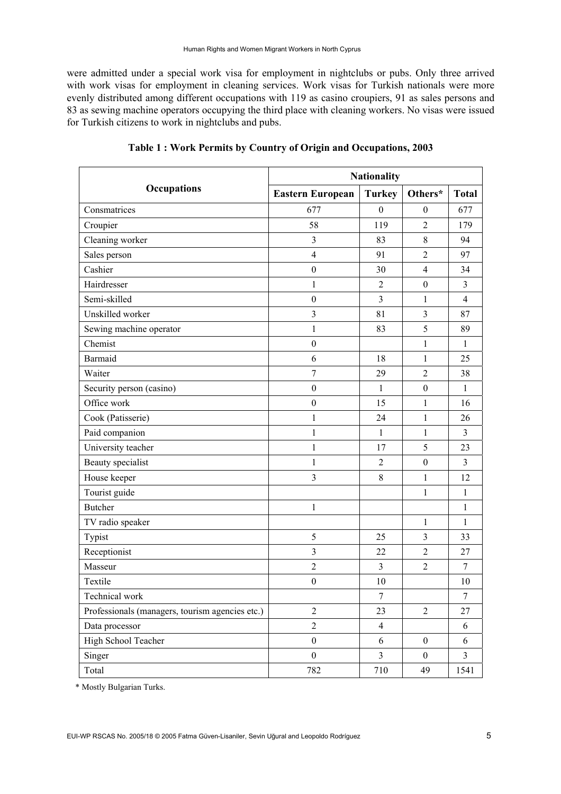were admitted under a special work visa for employment in nightclubs or pubs. Only three arrived with work visas for employment in cleaning services. Work visas for Turkish nationals were more evenly distributed among different occupations with 119 as casino croupiers, 91 as sales persons and 83 as sewing machine operators occupying the third place with cleaning workers. No visas were issued for Turkish citizens to work in nightclubs and pubs.

| <b>Occupations</b>                              | <b>Nationality</b>      |                  |                         |                |
|-------------------------------------------------|-------------------------|------------------|-------------------------|----------------|
|                                                 | <b>Eastern European</b> | <b>Turkey</b>    | Others*                 | <b>Total</b>   |
| Consmatrices                                    | 677                     | $\boldsymbol{0}$ | $\boldsymbol{0}$        | 677            |
| Croupier                                        | 58                      | 119              | $\overline{2}$          | 179            |
| Cleaning worker                                 | $\overline{3}$          | 83               | 8                       | 94             |
| Sales person                                    | $\overline{4}$          | 91               | $\overline{2}$          | 97             |
| Cashier                                         | $\boldsymbol{0}$        | 30               | $\overline{4}$          | 34             |
| Hairdresser                                     | $\mathbf{1}$            | $\overline{2}$   | $\boldsymbol{0}$        | 3              |
| Semi-skilled                                    | $\boldsymbol{0}$        | 3                | $\mathbf{1}$            | $\overline{4}$ |
| Unskilled worker                                | $\mathfrak{Z}$          | 81               | $\overline{\mathbf{3}}$ | 87             |
| Sewing machine operator                         | 1                       | 83               | 5                       | 89             |
| Chemist                                         | $\boldsymbol{0}$        |                  | $\mathbf{1}$            | 1              |
| Barmaid                                         | 6                       | 18               | $\mathbf{1}$            | 25             |
| Waiter                                          | $\overline{7}$          | 29               | $\overline{2}$          | 38             |
| Security person (casino)                        | $\boldsymbol{0}$        | 1                | $\boldsymbol{0}$        | 1              |
| Office work                                     | $\boldsymbol{0}$        | 15               | $\mathbf{1}$            | 16             |
| Cook (Patisserie)                               | $\mathbf{1}$            | 24               | $\mathbf{1}$            | 26             |
| Paid companion                                  | $\mathbf{1}$            | 1                | $\mathbf{1}$            | 3              |
| University teacher                              | $\mathbf{1}$            | 17               | 5                       | 23             |
| Beauty specialist                               | $\mathbf{1}$            | $\overline{2}$   | $\boldsymbol{0}$        | 3              |
| House keeper                                    | 3                       | 8                | 1                       | 12             |
| Tourist guide                                   |                         |                  | $\mathbf{1}$            | $\mathbf{1}$   |
| <b>Butcher</b>                                  | $\mathbf{1}$            |                  |                         | $\mathbf{1}$   |
| TV radio speaker                                |                         |                  | $\mathbf{1}$            | $\mathbf{1}$   |
| Typist                                          | 5                       | 25               | 3                       | 33             |
| Receptionist                                    | $\overline{3}$          | 22               | $\overline{2}$          | 27             |
| Masseur                                         | $\overline{2}$          | 3                | $\overline{2}$          | $\overline{7}$ |
| Textile                                         | $\boldsymbol{0}$        | 10               |                         | 10             |
| Technical work                                  |                         | $\tau$           |                         | $\tau$         |
| Professionals (managers, tourism agencies etc.) | $\overline{2}$          | 23               | $\overline{2}$          | 27             |
| Data processor                                  | $\overline{2}$          | 4                |                         | 6              |
| High School Teacher                             | $\boldsymbol{0}$        | 6                | $\mathbf{0}$            | 6              |
| Singer                                          | $\boldsymbol{0}$        | $\overline{3}$   | $\boldsymbol{0}$        | $\overline{3}$ |
| Total                                           | 782                     | 710              | 49                      | 1541           |

**Table 1 : Work Permits by Country of Origin and Occupations, 2003** 

\* Mostly Bulgarian Turks.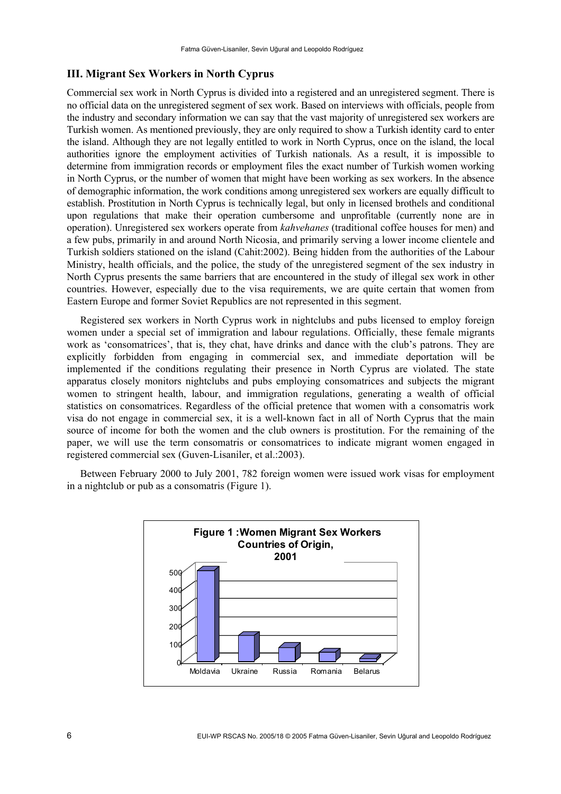#### **III. Migrant Sex Workers in North Cyprus**

Commercial sex work in North Cyprus is divided into a registered and an unregistered segment. There is no official data on the unregistered segment of sex work. Based on interviews with officials, people from the industry and secondary information we can say that the vast majority of unregistered sex workers are Turkish women. As mentioned previously, they are only required to show a Turkish identity card to enter the island. Although they are not legally entitled to work in North Cyprus, once on the island, the local authorities ignore the employment activities of Turkish nationals. As a result, it is impossible to determine from immigration records or employment files the exact number of Turkish women working in North Cyprus, or the number of women that might have been working as sex workers. In the absence of demographic information, the work conditions among unregistered sex workers are equally difficult to establish. Prostitution in North Cyprus is technically legal, but only in licensed brothels and conditional upon regulations that make their operation cumbersome and unprofitable (currently none are in operation). Unregistered sex workers operate from *kahvehanes* (traditional coffee houses for men) and a few pubs, primarily in and around North Nicosia, and primarily serving a lower income clientele and Turkish soldiers stationed on the island (Cahit:2002). Being hidden from the authorities of the Labour Ministry, health officials, and the police, the study of the unregistered segment of the sex industry in North Cyprus presents the same barriers that are encountered in the study of illegal sex work in other countries. However, especially due to the visa requirements, we are quite certain that women from Eastern Europe and former Soviet Republics are not represented in this segment.

Registered sex workers in North Cyprus work in nightclubs and pubs licensed to employ foreign women under a special set of immigration and labour regulations. Officially, these female migrants work as 'consomatrices', that is, they chat, have drinks and dance with the club's patrons. They are explicitly forbidden from engaging in commercial sex, and immediate deportation will be implemented if the conditions regulating their presence in North Cyprus are violated. The state apparatus closely monitors nightclubs and pubs employing consomatrices and subjects the migrant women to stringent health, labour, and immigration regulations, generating a wealth of official statistics on consomatrices. Regardless of the official pretence that women with a consomatris work visa do not engage in commercial sex, it is a well-known fact in all of North Cyprus that the main source of income for both the women and the club owners is prostitution. For the remaining of the paper, we will use the term consomatris or consomatrices to indicate migrant women engaged in registered commercial sex (Guven-Lisaniler, et al.:2003).

Between February 2000 to July 2001, 782 foreign women were issued work visas for employment in a nightclub or pub as a consomatris (Figure 1).

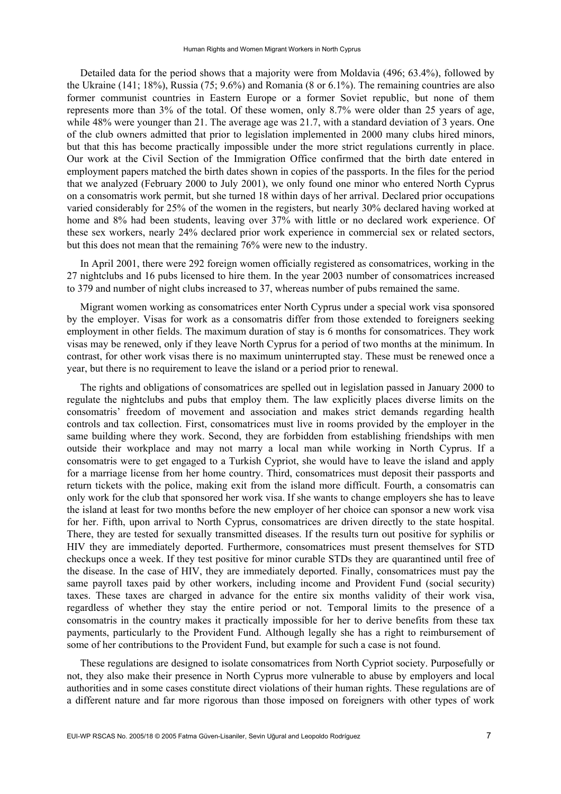Detailed data for the period shows that a majority were from Moldavia (496; 63.4%), followed by the Ukraine (141; 18%), Russia (75; 9.6%) and Romania (8 or 6.1%). The remaining countries are also former communist countries in Eastern Europe or a former Soviet republic, but none of them represents more than 3% of the total. Of these women, only 8.7% were older than 25 years of age, while 48% were younger than 21. The average age was 21.7, with a standard deviation of 3 years. One of the club owners admitted that prior to legislation implemented in 2000 many clubs hired minors, but that this has become practically impossible under the more strict regulations currently in place. Our work at the Civil Section of the Immigration Office confirmed that the birth date entered in employment papers matched the birth dates shown in copies of the passports. In the files for the period that we analyzed (February 2000 to July 2001), we only found one minor who entered North Cyprus on a consomatris work permit, but she turned 18 within days of her arrival. Declared prior occupations varied considerably for 25% of the women in the registers, but nearly 30% declared having worked at home and 8% had been students, leaving over 37% with little or no declared work experience. Of these sex workers, nearly 24% declared prior work experience in commercial sex or related sectors, but this does not mean that the remaining 76% were new to the industry.

In April 2001, there were 292 foreign women officially registered as consomatrices, working in the 27 nightclubs and 16 pubs licensed to hire them. In the year 2003 number of consomatrices increased to 379 and number of night clubs increased to 37, whereas number of pubs remained the same.

Migrant women working as consomatrices enter North Cyprus under a special work visa sponsored by the employer. Visas for work as a consomatris differ from those extended to foreigners seeking employment in other fields. The maximum duration of stay is 6 months for consomatrices. They work visas may be renewed, only if they leave North Cyprus for a period of two months at the minimum. In contrast, for other work visas there is no maximum uninterrupted stay. These must be renewed once a year, but there is no requirement to leave the island or a period prior to renewal.

The rights and obligations of consomatrices are spelled out in legislation passed in January 2000 to regulate the nightclubs and pubs that employ them. The law explicitly places diverse limits on the consomatris' freedom of movement and association and makes strict demands regarding health controls and tax collection. First, consomatrices must live in rooms provided by the employer in the same building where they work. Second, they are forbidden from establishing friendships with men outside their workplace and may not marry a local man while working in North Cyprus. If a consomatris were to get engaged to a Turkish Cypriot, she would have to leave the island and apply for a marriage license from her home country. Third, consomatrices must deposit their passports and return tickets with the police, making exit from the island more difficult. Fourth, a consomatris can only work for the club that sponsored her work visa. If she wants to change employers she has to leave the island at least for two months before the new employer of her choice can sponsor a new work visa for her. Fifth, upon arrival to North Cyprus, consomatrices are driven directly to the state hospital. There, they are tested for sexually transmitted diseases. If the results turn out positive for syphilis or HIV they are immediately deported. Furthermore, consomatrices must present themselves for STD checkups once a week. If they test positive for minor curable STDs they are quarantined until free of the disease. In the case of HIV, they are immediately deported. Finally, consomatrices must pay the same payroll taxes paid by other workers, including income and Provident Fund (social security) taxes. These taxes are charged in advance for the entire six months validity of their work visa, regardless of whether they stay the entire period or not. Temporal limits to the presence of a consomatris in the country makes it practically impossible for her to derive benefits from these tax payments, particularly to the Provident Fund. Although legally she has a right to reimbursement of some of her contributions to the Provident Fund, but example for such a case is not found.

These regulations are designed to isolate consomatrices from North Cypriot society. Purposefully or not, they also make their presence in North Cyprus more vulnerable to abuse by employers and local authorities and in some cases constitute direct violations of their human rights. These regulations are of a different nature and far more rigorous than those imposed on foreigners with other types of work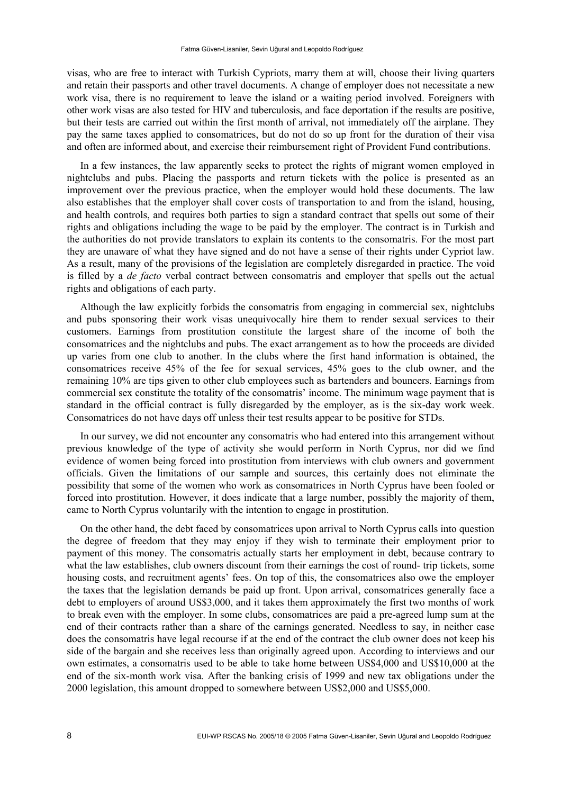visas, who are free to interact with Turkish Cypriots, marry them at will, choose their living quarters and retain their passports and other travel documents. A change of employer does not necessitate a new work visa, there is no requirement to leave the island or a waiting period involved. Foreigners with other work visas are also tested for HIV and tuberculosis, and face deportation if the results are positive, but their tests are carried out within the first month of arrival, not immediately off the airplane. They pay the same taxes applied to consomatrices, but do not do so up front for the duration of their visa and often are informed about, and exercise their reimbursement right of Provident Fund contributions.

In a few instances, the law apparently seeks to protect the rights of migrant women employed in nightclubs and pubs. Placing the passports and return tickets with the police is presented as an improvement over the previous practice, when the employer would hold these documents. The law also establishes that the employer shall cover costs of transportation to and from the island, housing, and health controls, and requires both parties to sign a standard contract that spells out some of their rights and obligations including the wage to be paid by the employer. The contract is in Turkish and the authorities do not provide translators to explain its contents to the consomatris. For the most part they are unaware of what they have signed and do not have a sense of their rights under Cypriot law. As a result, many of the provisions of the legislation are completely disregarded in practice. The void is filled by a *de facto* verbal contract between consomatris and employer that spells out the actual rights and obligations of each party.

Although the law explicitly forbids the consomatris from engaging in commercial sex, nightclubs and pubs sponsoring their work visas unequivocally hire them to render sexual services to their customers. Earnings from prostitution constitute the largest share of the income of both the consomatrices and the nightclubs and pubs. The exact arrangement as to how the proceeds are divided up varies from one club to another. In the clubs where the first hand information is obtained, the consomatrices receive 45% of the fee for sexual services, 45% goes to the club owner, and the remaining 10% are tips given to other club employees such as bartenders and bouncers. Earnings from commercial sex constitute the totality of the consomatris' income. The minimum wage payment that is standard in the official contract is fully disregarded by the employer, as is the six-day work week. Consomatrices do not have days off unless their test results appear to be positive for STDs.

In our survey, we did not encounter any consomatris who had entered into this arrangement without previous knowledge of the type of activity she would perform in North Cyprus, nor did we find evidence of women being forced into prostitution from interviews with club owners and government officials. Given the limitations of our sample and sources, this certainly does not eliminate the possibility that some of the women who work as consomatrices in North Cyprus have been fooled or forced into prostitution. However, it does indicate that a large number, possibly the majority of them, came to North Cyprus voluntarily with the intention to engage in prostitution.

On the other hand, the debt faced by consomatrices upon arrival to North Cyprus calls into question the degree of freedom that they may enjoy if they wish to terminate their employment prior to payment of this money. The consomatris actually starts her employment in debt, because contrary to what the law establishes, club owners discount from their earnings the cost of round- trip tickets, some housing costs, and recruitment agents' fees. On top of this, the consomatrices also owe the employer the taxes that the legislation demands be paid up front. Upon arrival, consomatrices generally face a debt to employers of around US\$3,000, and it takes them approximately the first two months of work to break even with the employer. In some clubs, consomatrices are paid a pre-agreed lump sum at the end of their contracts rather than a share of the earnings generated. Needless to say, in neither case does the consomatris have legal recourse if at the end of the contract the club owner does not keep his side of the bargain and she receives less than originally agreed upon. According to interviews and our own estimates, a consomatris used to be able to take home between US\$4,000 and US\$10,000 at the end of the six-month work visa. After the banking crisis of 1999 and new tax obligations under the 2000 legislation, this amount dropped to somewhere between US\$2,000 and US\$5,000.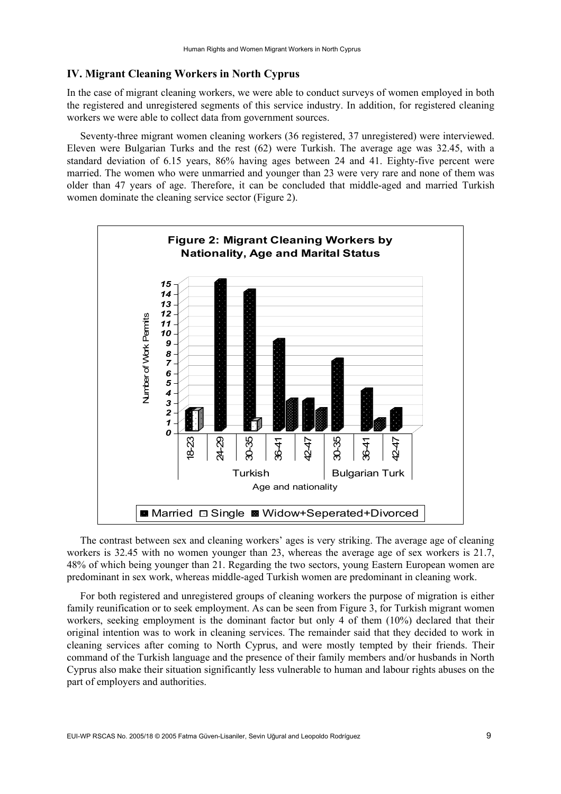#### **IV. Migrant Cleaning Workers in North Cyprus**

In the case of migrant cleaning workers, we were able to conduct surveys of women employed in both the registered and unregistered segments of this service industry. In addition, for registered cleaning workers we were able to collect data from government sources.

Seventy-three migrant women cleaning workers (36 registered, 37 unregistered) were interviewed. Eleven were Bulgarian Turks and the rest (62) were Turkish. The average age was 32.45, with a standard deviation of 6.15 years, 86% having ages between 24 and 41. Eighty-five percent were married. The women who were unmarried and younger than 23 were very rare and none of them was older than 47 years of age. Therefore, it can be concluded that middle-aged and married Turkish women dominate the cleaning service sector (Figure 2).



The contrast between sex and cleaning workers' ages is very striking. The average age of cleaning workers is 32.45 with no women younger than 23, whereas the average age of sex workers is 21.7, 48% of which being younger than 21. Regarding the two sectors, young Eastern European women are predominant in sex work, whereas middle-aged Turkish women are predominant in cleaning work.

For both registered and unregistered groups of cleaning workers the purpose of migration is either family reunification or to seek employment. As can be seen from Figure 3, for Turkish migrant women workers, seeking employment is the dominant factor but only 4 of them (10%) declared that their original intention was to work in cleaning services. The remainder said that they decided to work in cleaning services after coming to North Cyprus, and were mostly tempted by their friends. Their command of the Turkish language and the presence of their family members and/or husbands in North Cyprus also make their situation significantly less vulnerable to human and labour rights abuses on the part of employers and authorities.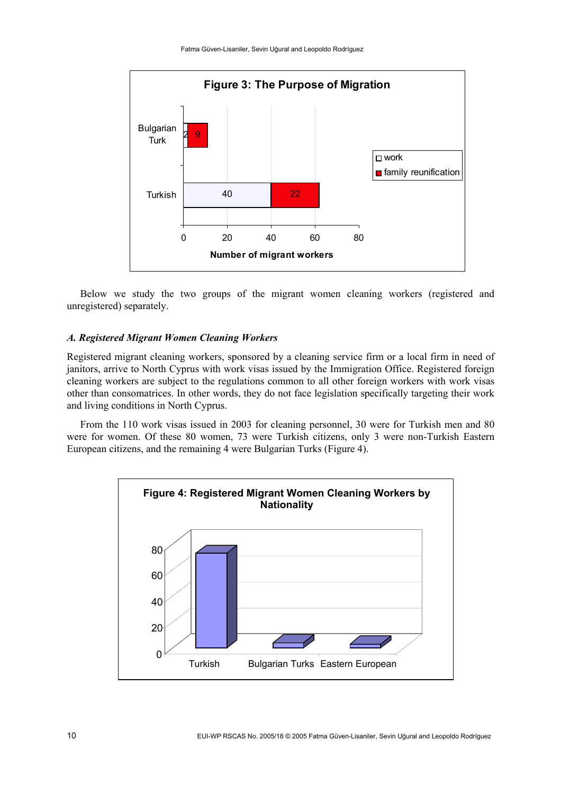

Below we study the two groups of the migrant women cleaning workers (registered and unregistered) separately.

#### *A. Registered Migrant Women Cleaning Workers*

Registered migrant cleaning workers, sponsored by a cleaning service firm or a local firm in need of janitors, arrive to North Cyprus with work visas issued by the Immigration Office. Registered foreign cleaning workers are subject to the regulations common to all other foreign workers with work visas other than consomatrices. In other words, they do not face legislation specifically targeting their work and living conditions in North Cyprus.

From the 110 work visas issued in 2003 for cleaning personnel, 30 were for Turkish men and 80 were for women. Of these 80 women, 73 were Turkish citizens, only 3 were non-Turkish Eastern European citizens, and the remaining 4 were Bulgarian Turks (Figure 4).

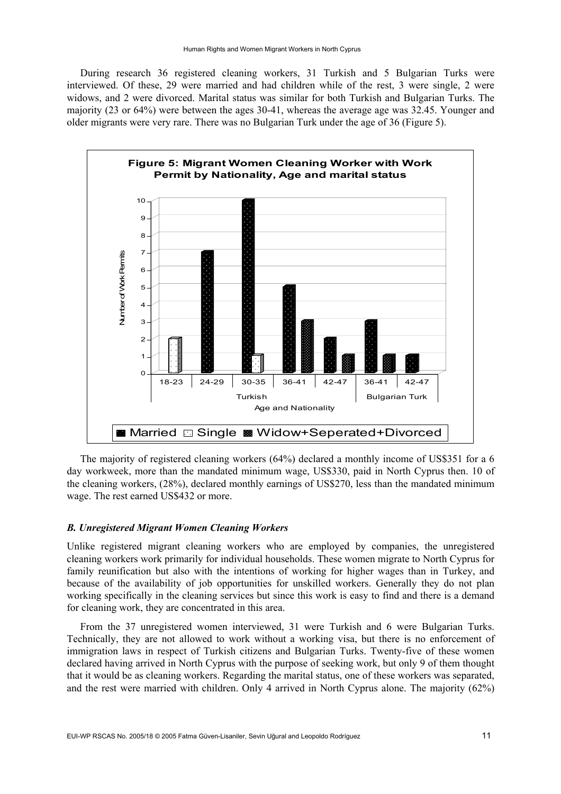During research 36 registered cleaning workers, 31 Turkish and 5 Bulgarian Turks were interviewed. Of these, 29 were married and had children while of the rest, 3 were single, 2 were widows, and 2 were divorced. Marital status was similar for both Turkish and Bulgarian Turks. The majority (23 or 64%) were between the ages 30-41, whereas the average age was 32.45. Younger and older migrants were very rare. There was no Bulgarian Turk under the age of 36 (Figure 5).



The majority of registered cleaning workers (64%) declared a monthly income of US\$351 for a 6 day workweek, more than the mandated minimum wage, US\$330, paid in North Cyprus then. 10 of the cleaning workers, (28%), declared monthly earnings of US\$270, less than the mandated minimum wage. The rest earned US\$432 or more.

#### *B. Unregistered Migrant Women Cleaning Workers*

Unlike registered migrant cleaning workers who are employed by companies, the unregistered cleaning workers work primarily for individual households. These women migrate to North Cyprus for family reunification but also with the intentions of working for higher wages than in Turkey, and because of the availability of job opportunities for unskilled workers. Generally they do not plan working specifically in the cleaning services but since this work is easy to find and there is a demand for cleaning work, they are concentrated in this area.

From the 37 unregistered women interviewed, 31 were Turkish and 6 were Bulgarian Turks. Technically, they are not allowed to work without a working visa, but there is no enforcement of immigration laws in respect of Turkish citizens and Bulgarian Turks. Twenty-five of these women declared having arrived in North Cyprus with the purpose of seeking work, but only 9 of them thought that it would be as cleaning workers. Regarding the marital status, one of these workers was separated, and the rest were married with children. Only 4 arrived in North Cyprus alone. The majority (62%)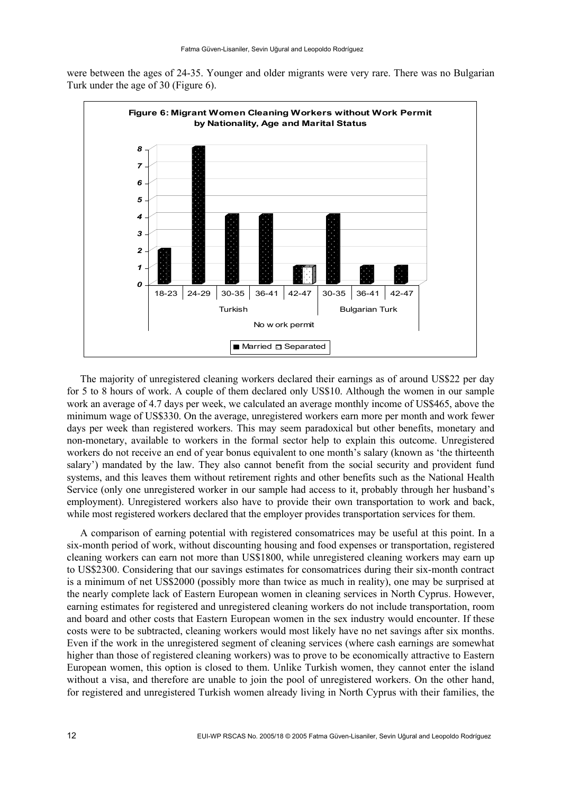were between the ages of 24-35. Younger and older migrants were very rare. There was no Bulgarian Turk under the age of 30 (Figure 6).



The majority of unregistered cleaning workers declared their earnings as of around US\$22 per day for 5 to 8 hours of work. A couple of them declared only US\$10. Although the women in our sample work an average of 4.7 days per week, we calculated an average monthly income of US\$465, above the minimum wage of US\$330. On the average, unregistered workers earn more per month and work fewer days per week than registered workers. This may seem paradoxical but other benefits, monetary and non-monetary, available to workers in the formal sector help to explain this outcome. Unregistered workers do not receive an end of year bonus equivalent to one month's salary (known as 'the thirteenth salary') mandated by the law. They also cannot benefit from the social security and provident fund systems, and this leaves them without retirement rights and other benefits such as the National Health Service (only one unregistered worker in our sample had access to it, probably through her husband's employment). Unregistered workers also have to provide their own transportation to work and back, while most registered workers declared that the employer provides transportation services for them.

A comparison of earning potential with registered consomatrices may be useful at this point. In a six-month period of work, without discounting housing and food expenses or transportation, registered cleaning workers can earn not more than US\$1800, while unregistered cleaning workers may earn up to US\$2300. Considering that our savings estimates for consomatrices during their six-month contract is a minimum of net US\$2000 (possibly more than twice as much in reality), one may be surprised at the nearly complete lack of Eastern European women in cleaning services in North Cyprus. However, earning estimates for registered and unregistered cleaning workers do not include transportation, room and board and other costs that Eastern European women in the sex industry would encounter. If these costs were to be subtracted, cleaning workers would most likely have no net savings after six months. Even if the work in the unregistered segment of cleaning services (where cash earnings are somewhat higher than those of registered cleaning workers) was to prove to be economically attractive to Eastern European women, this option is closed to them. Unlike Turkish women, they cannot enter the island without a visa, and therefore are unable to join the pool of unregistered workers. On the other hand, for registered and unregistered Turkish women already living in North Cyprus with their families, the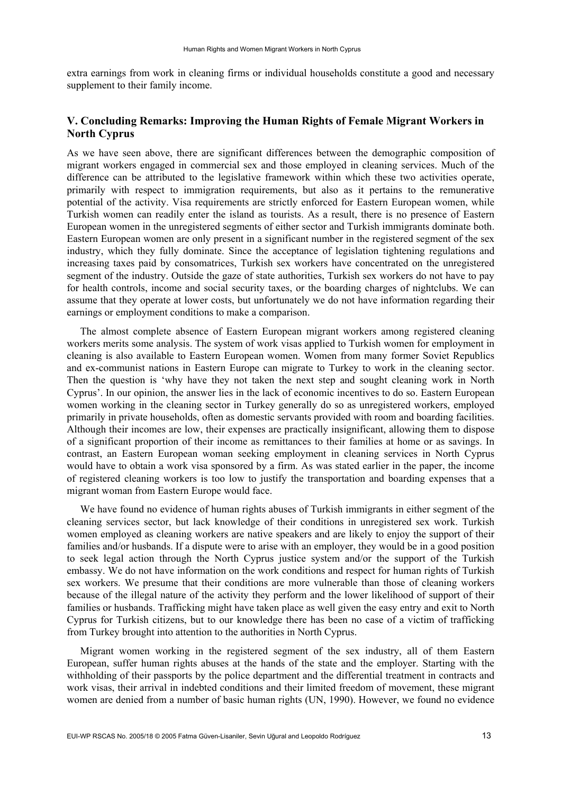extra earnings from work in cleaning firms or individual households constitute a good and necessary supplement to their family income.

#### **V. Concluding Remarks: Improving the Human Rights of Female Migrant Workers in North Cyprus**

As we have seen above, there are significant differences between the demographic composition of migrant workers engaged in commercial sex and those employed in cleaning services. Much of the difference can be attributed to the legislative framework within which these two activities operate, primarily with respect to immigration requirements, but also as it pertains to the remunerative potential of the activity. Visa requirements are strictly enforced for Eastern European women, while Turkish women can readily enter the island as tourists. As a result, there is no presence of Eastern European women in the unregistered segments of either sector and Turkish immigrants dominate both. Eastern European women are only present in a significant number in the registered segment of the sex industry, which they fully dominate. Since the acceptance of legislation tightening regulations and increasing taxes paid by consomatrices, Turkish sex workers have concentrated on the unregistered segment of the industry. Outside the gaze of state authorities, Turkish sex workers do not have to pay for health controls, income and social security taxes, or the boarding charges of nightclubs. We can assume that they operate at lower costs, but unfortunately we do not have information regarding their earnings or employment conditions to make a comparison.

The almost complete absence of Eastern European migrant workers among registered cleaning workers merits some analysis. The system of work visas applied to Turkish women for employment in cleaning is also available to Eastern European women. Women from many former Soviet Republics and ex-communist nations in Eastern Europe can migrate to Turkey to work in the cleaning sector. Then the question is 'why have they not taken the next step and sought cleaning work in North Cyprus'. In our opinion, the answer lies in the lack of economic incentives to do so. Eastern European women working in the cleaning sector in Turkey generally do so as unregistered workers, employed primarily in private households, often as domestic servants provided with room and boarding facilities. Although their incomes are low, their expenses are practically insignificant, allowing them to dispose of a significant proportion of their income as remittances to their families at home or as savings. In contrast, an Eastern European woman seeking employment in cleaning services in North Cyprus would have to obtain a work visa sponsored by a firm. As was stated earlier in the paper, the income of registered cleaning workers is too low to justify the transportation and boarding expenses that a migrant woman from Eastern Europe would face.

We have found no evidence of human rights abuses of Turkish immigrants in either segment of the cleaning services sector, but lack knowledge of their conditions in unregistered sex work. Turkish women employed as cleaning workers are native speakers and are likely to enjoy the support of their families and/or husbands. If a dispute were to arise with an employer, they would be in a good position to seek legal action through the North Cyprus justice system and/or the support of the Turkish embassy. We do not have information on the work conditions and respect for human rights of Turkish sex workers. We presume that their conditions are more vulnerable than those of cleaning workers because of the illegal nature of the activity they perform and the lower likelihood of support of their families or husbands. Trafficking might have taken place as well given the easy entry and exit to North Cyprus for Turkish citizens, but to our knowledge there has been no case of a victim of trafficking from Turkey brought into attention to the authorities in North Cyprus.

Migrant women working in the registered segment of the sex industry, all of them Eastern European, suffer human rights abuses at the hands of the state and the employer. Starting with the withholding of their passports by the police department and the differential treatment in contracts and work visas, their arrival in indebted conditions and their limited freedom of movement, these migrant women are denied from a number of basic human rights (UN, 1990). However, we found no evidence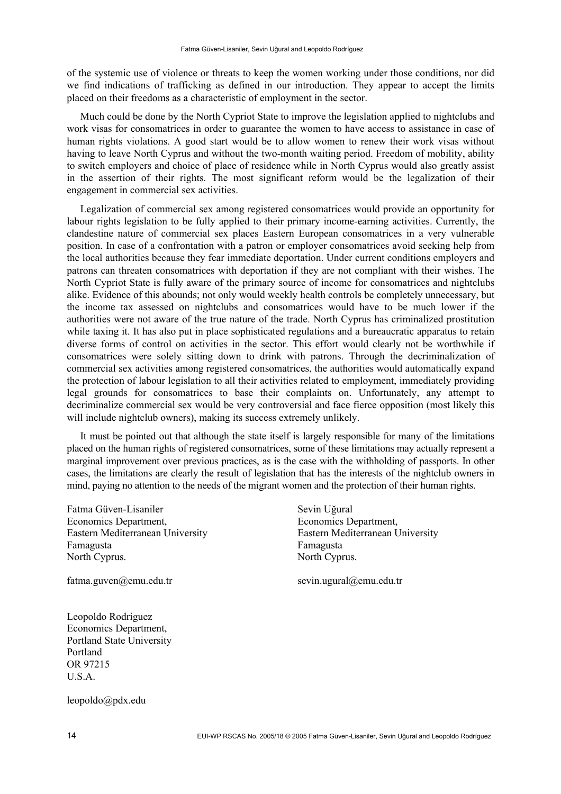of the systemic use of violence or threats to keep the women working under those conditions, nor did we find indications of trafficking as defined in our introduction. They appear to accept the limits placed on their freedoms as a characteristic of employment in the sector.

Much could be done by the North Cypriot State to improve the legislation applied to nightclubs and work visas for consomatrices in order to guarantee the women to have access to assistance in case of human rights violations. A good start would be to allow women to renew their work visas without having to leave North Cyprus and without the two-month waiting period. Freedom of mobility, ability to switch employers and choice of place of residence while in North Cyprus would also greatly assist in the assertion of their rights. The most significant reform would be the legalization of their engagement in commercial sex activities.

Legalization of commercial sex among registered consomatrices would provide an opportunity for labour rights legislation to be fully applied to their primary income-earning activities. Currently, the clandestine nature of commercial sex places Eastern European consomatrices in a very vulnerable position. In case of a confrontation with a patron or employer consomatrices avoid seeking help from the local authorities because they fear immediate deportation. Under current conditions employers and patrons can threaten consomatrices with deportation if they are not compliant with their wishes. The North Cypriot State is fully aware of the primary source of income for consomatrices and nightclubs alike. Evidence of this abounds; not only would weekly health controls be completely unnecessary, but the income tax assessed on nightclubs and consomatrices would have to be much lower if the authorities were not aware of the true nature of the trade. North Cyprus has criminalized prostitution while taxing it. It has also put in place sophisticated regulations and a bureaucratic apparatus to retain diverse forms of control on activities in the sector. This effort would clearly not be worthwhile if consomatrices were solely sitting down to drink with patrons. Through the decriminalization of commercial sex activities among registered consomatrices, the authorities would automatically expand the protection of labour legislation to all their activities related to employment, immediately providing legal grounds for consomatrices to base their complaints on. Unfortunately, any attempt to decriminalize commercial sex would be very controversial and face fierce opposition (most likely this will include nightclub owners), making its success extremely unlikely.

It must be pointed out that although the state itself is largely responsible for many of the limitations placed on the human rights of registered consomatrices, some of these limitations may actually represent a marginal improvement over previous practices, as is the case with the withholding of passports. In other cases, the limitations are clearly the result of legislation that has the interests of the nightclub owners in mind, paying no attention to the needs of the migrant women and the protection of their human rights.

Fatma Güven-Lisaniler Economics Department, Eastern Mediterranean University Famagusta North Cyprus.

fatma.guven@emu.edu.tr

Sevin Uğural Economics Department, Eastern Mediterranean University Famagusta North Cyprus.

sevin.ugural@emu.edu.tr

Leopoldo Rodríguez Economics Department, Portland State University Portland OR 97215 U.S.A.

leopoldo@pdx.edu